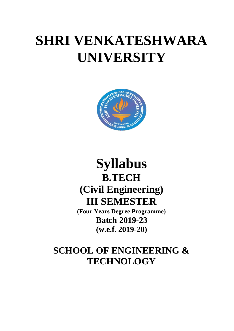# **SHRI VENKATESHWARA UNIVERSITY**



## **Syllabus B.TECH (Civil Engineering) III SEMESTER**

**(Four Years Degree Programme) Batch 2019-23 (w.e.f. 2019-20)**

### **SCHOOL OF ENGINEERING & TECHNOLOGY**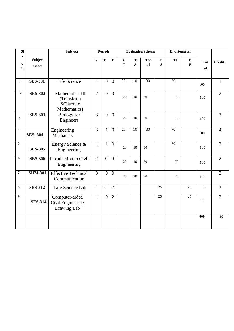| $\overline{\bf SI}$         |                         | Subject                                                    |                | <b>Periods</b>   |                |                     |                           | <b>Evaluation Scheme</b> |                  | <b>End Semester</b> |                  |                  |                |
|-----------------------------|-------------------------|------------------------------------------------------------|----------------|------------------|----------------|---------------------|---------------------------|--------------------------|------------------|---------------------|------------------|------------------|----------------|
| $\mathbf N$<br>$\mathbf{0}$ | Subject<br><b>Codes</b> |                                                            | $\mathbf{L}$   | T                | ${\bf P}$      | $\overline{C}$<br>T | ${\bf T}$<br>$\mathbf{A}$ | <b>Tot</b><br>al         | $\mathbf P$<br>S | TE                  | $\mathbf P$<br>E | <b>Tot</b><br>al | <b>Credit</b>  |
| $\mathbf{1}$                | <b>SBS-301</b>          | Life Science                                               | $\mathbf{1}$   | $\theta$         | $\overline{0}$ | 20                  | 10                        | $\overline{30}$          |                  | 70                  |                  | 100              | $\mathbf{1}$   |
| $\overline{c}$              | <b>SBS-302</b>          | Mathematics-III<br>(Transform<br>&Discrete<br>Mathematics) | $\overline{2}$ | $\overline{0}$   | $\overline{0}$ | 20                  | 10                        | 30                       |                  | 70                  |                  | 100              | $\overline{2}$ |
| $\overline{3}$              | <b>SES-303</b>          | <b>Biology</b> for<br>Engineers                            | $\overline{3}$ | $\theta$         | $\overline{0}$ | 20                  | 10                        | 30                       |                  | 70                  |                  | 100              | $\overline{3}$ |
| $\overline{\mathbf{4}}$     | <b>SES-304</b>          | Engineering<br>Mechanics                                   | $\overline{3}$ |                  | $\overline{0}$ | 20                  | 10                        | $\overline{30}$          |                  | 70                  |                  | 100              | $\overline{4}$ |
| 5                           | <b>SES-305</b>          | Energy Science &<br>Engineering                            | $\mathbf{1}$   |                  | $\overline{0}$ | 20                  | 10                        | 30                       |                  | 70                  |                  | 100              | $\overline{2}$ |
| 6                           | <b>SBS-306</b>          | Introduction to Civil<br>Engineering                       | $\overline{2}$ | $\overline{0}$   | $\overline{0}$ | 20                  | 10                        | 30                       |                  | 70                  |                  | 100              | $\overline{2}$ |
| $\tau$                      | <b>SHM-301</b>          | <b>Effective Technical</b><br>Communication                | $\overline{3}$ | $\overline{0}$   | $\overline{0}$ | 20                  | 10                        | 30                       |                  | 70                  |                  | 100              | $\overline{3}$ |
| $8\,$                       | <b>SBS-312</b>          | Life Science Lab                                           | $\mathbf{0}$   | $\boldsymbol{0}$ | $\overline{2}$ |                     |                           |                          | $\overline{25}$  |                     | $\overline{25}$  | 50               | $\mathbf{1}$   |
| 9                           | <b>SES-314</b>          | Computer-aided<br>Civil Engineering<br>Drawing Lab         | $\mathbf{1}$   | $\Omega$         | $\overline{2}$ |                     |                           |                          | 25               |                     | 25               | 50               | $\overline{2}$ |
|                             |                         |                                                            |                |                  |                |                     |                           |                          |                  |                     |                  | 800              | 20             |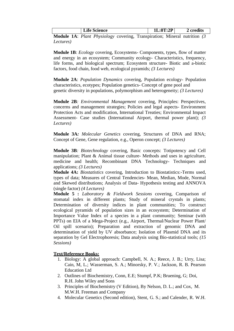|               | <b>Life Science</b>          | $\mathbf{L}:0\mathrm{T}:2\mathrm{P}$ | credits |
|---------------|------------------------------|--------------------------------------|---------|
| $\sim$ $\sim$ | $\mathbf{r}$<br>$\mathbf{r}$ | .                                    |         |

**Module 1A**: *Plant Physiology* covering, Transpiration; Mineral nutrition *(3 Lectures)*

**Module 1B**: *Ecology* covering, Ecosystems- Components, types, flow of matter and energy in an ecosystem; Community ecology- Characteristics, frequency, life forms, and biological spectrum; Ecosystem structure- Biotic and a-biotic factors, food chain, food web, ecological pyramids; *(3 Lectures)*

**Module 2A**: *Population Dynamics* covering, Population ecology- Population characteristics, ecotypes; Population genetics- Concept of gene pool and genetic diversity in populations, polymorphism and heterogeneity; *(3 Lectures)*

**Module 2B***: Environmental Management* covering, Principles: Perspectives, concerns and management strategies; Policies and legal aspects- Environment Protection Acts and modification, International Treaties; Environmental Impact Assessment- Case studies (International Airport, thermal power plant); *(3 Lectures)*

**Module 3A***: Molecular Genetics* covering, Structures of DNA and RNA; Concept of Gene, Gene regulation, e.g., Operon concept; *(3 Lectures)*

**Module 3B***: Biotechnology* covering, Basic concepts: Totipotency and Cell manipulation; Plant & Animal tissue culture- Methods and uses in agriculture, medicine and health; Recombinant DNA Technology- Techniques and applications; *(3 Lectures)*

**Module 4A:** *Biostatistics* covering, Introduction to Biostatistics:-Terms used, types of data; Measures of Central Tendencies- Mean, Median, Mode, Normal and Skewed distributions; Analysis of Data- Hypothesis testing and ANNOVA (single factor) *(4 Lectures)*

**Module 5 :** *Laboratory & Fieldwork Sessions* covering, Comparison of stomatal index in different plants; Study of mineral crystals in plants; Determination of diversity indices in plant communities; To construct ecological pyramids of population sizes in an ecosystem; Determination of Importance Value Index of a species in a plant community; Seminar (with PPTs) on EIA of a Mega-Project (e.g., Airport, Thermal/Nuclear Power Plant/ Oil spill scenario); Preparation and extraction of genomic DNA and determination of yield by UV absorbance; Isolation of Plasmid DNA and its separation by Gel Electrophoresis; Data analysis using Bio-statistical tools; *(15 Sessions)*

- 1. Biology: A global approach: Campbell, N. A.; Reece, J. B.; Urry, Lisa; Cain, M, L.; Wasserman, S. A.; Minorsky, P. V.; Jackson, R. B. Pearson Education Ltd
- 2. Outlines of Biochemistry, Conn, E.E; Stumpf, P.K; Bruening, G; Doi, R.H. John Wiley and Sons
- 3. Principles of Biochemistry (V Edition), By Nelson, D. L.; and Cox, M. M.W.H. Freeman and Company
- 4. Molecular Genetics (Second edition), Stent, G. S.; and Calender, R. W.H.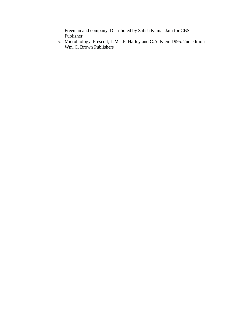Freeman and company, Distributed by Satish Kumar Jain for CBS Publisher

5. Microbiology, Prescott, L.M J.P. Harley and C.A. Klein 1995. 2nd edition Wm, C. Brown Publishers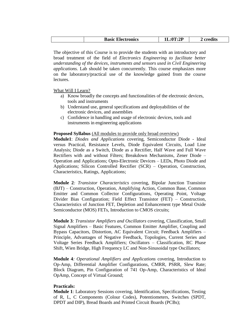|--|

The objective of this Course is to provide the students with an introductory and broad treatment of the field of *Electronics Engineering to facilitate better understanding of the devices, instruments and sensors used in Civil Engineering applications.* Lab should be taken concurrently. This course emphasizes more on the laboratory/practical use of the knowledge gained from the course lectures.

What Will I Learn?

- a) Know broadly the concepts and functionalities of the electronic devices, tools and instruments
- b) Understand use, general specifications and deployabilities of the electronic devices, and assemblies
- c) Confidence in handling and usage of electronic devices, tools and instruments in engineering applications

#### **Proposed Syllabus** (All modules to provide only broad overview)

**Module1**: *Diodes and Applications* covering, Semiconductor Diode - Ideal versus Practical, Resistance Levels, Diode Equivalent Circuits, Load Line Analysis; Diode as a Switch, Diode as a Rectifier, Half Wave and Full Wave Rectifiers with and without Filters; Breakdown Mechanisms, Zener Diode – Operation and Applications; Opto-Electronic Devices – LEDs, Photo Diode and Applications; Silicon Controlled Rectifier (SCR) – Operation, Construction, Characteristics, Ratings, Applications;

**Module 2***: Transistor Characteristics* covering, Bipolar Junction Transistor (BJT) – Construction, Operation, Amplifying Action, Common Base, Common Emitter and Common Collector Configurations, Operating Point, Voltage Divider Bias Configuration; Field Effect Transistor (FET) – Construction, Characteristics of Junction FET, Depletion and Enhancement type Metal Oxide Semiconductor (MOS) FETs, Introduction to CMOS circuits;

**Module 3***: Transistor Amplifiers and Oscillators* covering, Classification, Small Signal Amplifiers – Basic Features, Common Emitter Amplifier, Coupling and Bypass Capacitors, Distortion, AC Equivalent Circuit; Feedback Amplifiers – Principle, Advantages of Negative Feedback, Topologies, Current Series and Voltage Series Feedback Amplifiers; Oscillators – Classification, RC Phase Shift, Wien Bridge, High Frequency LC and Non-Sinusoidal type Oscillators;

**Module 4***: Operational Amplifiers and Applications* covering, Introduction to Op-Amp, Differential Amplifier Configurations, CMRR, PSRR, Slew Rate; Block Diagram, Pin Configuration of 741 Op-Amp, Characteristics of Ideal OpAmp, Concept of Virtual Ground;

#### **Practicals:**

**Module 1**: Laboratory Sessions covering, Identification, Specifications, Testing of R, L, C Components (Colour Codes), Potentiometers, Switches (SPDT, DPDT and DIP), Bread Boards and Printed Circuit Boards (PCBs);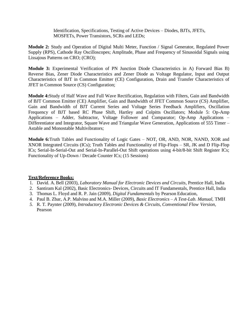Identification, Specifications, Testing of Active Devices – Diodes, BJTs, JFETs, MOSFETs, Power Transistors, SCRs and LEDs;

**Module 2:** Study and Operation of Digital Multi Meter, Function / Signal Generator, Regulated Power Supply (RPS), Cathode Ray Oscilloscopes; Amplitude, Phase and Frequency of Sinusoidal Signals using Lissajous Patterns on CRO; (CRO);

**Module 3:** Experimental Verification of PN Junction Diode Characteristics in A) Forward Bias B) Reverse Bias, Zener Diode Characteristics and Zener Diode as Voltage Regulator, Input and Output Characteristics of BJT in Common Emitter (CE) Configuration, Drain and Transfer Characteristics of JFET in Common Source (CS) Configuration;

**Module 4:**Study of Half Wave and Full Wave Rectification, Regulation with Filters, Gain and Bandwidth of BJT Common Emitter (CE) Amplifier, Gain and Bandwidth of JFET Common Source (CS) Amplifier, Gain and Bandwidth of BJT Current Series and Voltage Series Feedback Amplifiers, Oscillation Frequency of BJT based RC Phase Shift, Hartley and Colpitts Oscillators; Module 5: Op-Amp Applications – Adder, Subtractor, Voltage Follower and Comparator; Op-Amp Applications – Differentiator and Integrator, Square Wave and Triangular Wave Generation, Applications of 555 Timer – Astable and Monostable Multivibrators;

**Module 6:**Truth Tables and Functionality of Logic Gates – NOT, OR, AND, NOR, NAND, XOR and XNOR Integrated Circuits (ICs); Truth Tables and Functionality of Flip-Flops – SR, JK and D Flip-Flop ICs; Serial-In-Serial-Out and Serial-In-Parallel-Out Shift operations using 4-bit/8-bit Shift Register ICs; Functionality of Up-Down / Decade Counter ICs; (15 Sessions)

- 1. David. A. Bell (2003), *Laboratory Manual for Electronic Devices and Circuits*, Prentice Hall, India
- 2. Santiram Kal (2002), Basic Electronics- Devices, Circuits and IT Fundamentals, Prentice Hall, India
- 3. Thomas L. Floyd and R. P. Jain (2009), *Digital Fundamentals* by Pearson Education,
- 4. Paul B. Zbar, A.P. Malvino and M.A. Miller (2009), *Basic Electronics – A Text-Lab. Manual,* TMH
- *5.* R. T. Paynter (2009), *Introductory Electronic Devices & Circuits, Conventional Flow Version,* Pearson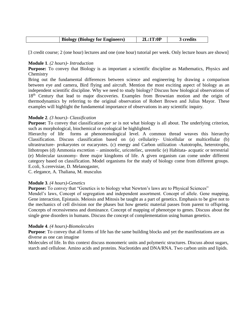| <b>Biology</b><br>(Biology for Engineers) | :0 <sup>F</sup> | . .<br>, credits |
|-------------------------------------------|-----------------|------------------|
|-------------------------------------------|-----------------|------------------|

[3 credit course; 2 (one hour) lectures and one (one hour) tutorial per week. Only lecture hours are shown]

#### **Module 1**. *(2 hours)- Introduction*

**Purpose:** To convey that Biology is as important a scientific discipline as Mathematics, Physics and Chemistry

Bring out the fundamental differences between science and engineering by drawing a comparison between eye and camera, Bird flying and aircraft. Mention the most exciting aspect of biology as an independent scientific discipline. Why we need to study biology? Discuss how biological observations of 18<sup>th</sup> Century that lead to major discoveries. Examples from Brownian motion and the origin of thermodynamics by referring to the original observation of Robert Brown and Julius Mayor. These examples will highlight the fundamental importance of observations in any scientific inquiry.

#### **Module 2**. *(3 hours)- Classification*

**Purpose:** To convey that classification *per se* is not what biology is all about. The underlying criterion, such as morphological, biochemical or ecological be highlighted.

Hierarchy of life forms at phenomenological level. A common thread weaves this hierarchy Classification. Discuss classification based on (a) cellularity- Unicellular or multicellular (b) ultrastructure- prokaryotes or eucaryotes. (c) energy and Carbon utilization -Autotrophs, heterotrophs, lithotropes (d) Ammonia excretion – aminotelic, uricoteliec, ureotelic (e) Habitata- acquatic or terrestrial (e) Molecular taxonomy- three major kingdoms of life. A given organism can come under different category based on classification. Model organisms for the study of biology come from different groups. E.coli, S.cerevisiae, D. Melanogaster,

C. elegance, A. Thaliana, M. musculus

#### **Module 3**. *(4 hours)-Genetics*

Purpose: To convey that "Genetics is to biology what Newton's laws are to Physical Sciences"

Mendel's laws, Concept of segregation and independent assortment. Concept of allele. Gene mapping, Gene interaction, Epistasis. Meiosis and Mitosis be taught as a part of genetics. Emphasis to be give not to the mechanics of cell division nor the phases but how genetic material passes from parent to offspring. Concepts of recessiveness and dominance. Concept of mapping of phenotype to genes. Discuss about the single gene disorders in humans. Discuss the concept of complementation using human genetics.

#### **Module 4**. *(4 hours)-Biomolecules*

**Purpose**: To convey that all forms of life has the same building blocks and yet the manifestations are as diverse as one can imagine

Molecules of life. In this context discuss monomeric units and polymeric structures. Discuss about sugars, starch and cellulose. Amino acids and proteins. Nucleotides and DNA/RNA. Two carbon units and lipids.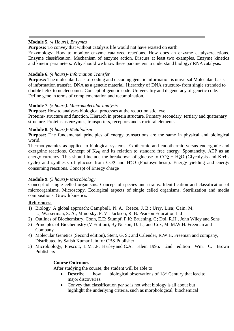#### **Module 5**. *(4 Hours). Enzymes*

**Purpose:** To convey that without catalysis life would not have existed on earth

Enzymology: How to monitor enzyme catalyzed reactions. How does an enzyme catalyzereactions. Enzyme classification. Mechanism of enzyme action. Discuss at least two examples. Enzyme kinetics and kinetic parameters. Why should we know these parameters to understand biology? RNA catalysis.

#### **Module 6**. *(4 hours)- Information Transfer*

**Purpose:** The molecular basis of coding and decoding genetic information is universal Molecular basis of information transfer. DNA as a genetic material. Hierarchy of DNA structure- from single stranded to double helix to nucleosomes. Concept of genetic code. Universality and degeneracy of genetic code. Define gene in terms of complementation and recombination.

#### **Module 7**. *(5 hours). Macromolecular analysis*

**Purpose:** How to analyses biological processes at the reductionistic level

Proteins- structure and function. Hierarch in protein structure. Primary secondary, tertiary and quaternary structure. Proteins as enzymes, transporters, receptors and structural elements.

#### **Module 8**. *(4 hours)- Metabolism*

**Purpose:** The fundamental principles of energy transactions are the same in physical and biological world.

Thermodynamics as applied to biological systems. Exothermic and endothermic versus endergonic and exergoinc reactions. Concept of Keq and its relation to standard free energy. Spontaneity. ATP as an energy currency. This should include the breakdown of glucose to  $CO<sub>2</sub> + H<sub>2</sub>O$  (Glycolysis and Krebs cycle) and synthesis of glucose from CO2 and H2O (Photosynthesis). Energy yielding and energy consuming reactions. Concept of Energy charge

#### **Module 9**. *(3 hours)- Microbiology*

Concept of single celled organisms. Concept of species and strains. Identification and classification of microorganisms. Microscopy. Ecological aspects of single celled organisms. Sterilization and media compositions. Growth kinetics.

#### **References:**

- 1) Biology: A global approach: Campbell, N. A.; Reece, J. B.; Urry, Lisa; Cain, M, L.; Wasserman, S. A.; Minorsky, P. V.; Jackson, R. B. Pearson Education Ltd
- 2) Outlines of Biochemistry, Conn, E.E; Stumpf, P.K; Bruening, G; Doi, R.H., John Wiley and Sons
- 3) Principles of Biochemistry (V Edition), By Nelson, D. L.; and Cox, M. M.W.H. Freeman and Company
- 4) Molecular Genetics (Second edition), Stent, G. S.; and Calender, R.W.H. Freeman and company, Distributed by Satish Kumar Jain for CBS Publisher
- 5) Microbiology, Prescott, L.M J.P. Harley and C.A. Klein 1995. 2nd edition Wm, C. Brown Publishers

#### **Course Outcomes**

After studying the course, the student will be able to:

- Describe how biological observations of  $18<sup>th</sup>$  Century that lead to major discoveries.
- Convey that classification *per se* is not what biology is all about but highlight the underlying criteria, such as morphological, biochemical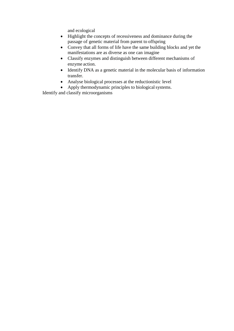and ecological

- Highlight the concepts of recessiveness and dominance during the passage of genetic material from parent to offspring
- Convey that all forms of life have the same building blocks and yet the manifestations are as diverse as one can imagine
- Classify enzymes and distinguish between different mechanisms of enzyme action.
- Identify DNA as a genetic material in the molecular basis of information transfer.
- Analyse biological processes at the reductionistic level
- Apply thermodynamic principles to biological systems.

Identify and classify microorganisms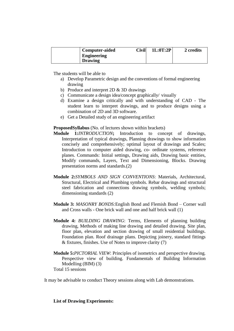| <b>Computer-aided</b> | Civil | 1L:0T:2P | 2 credits |
|-----------------------|-------|----------|-----------|
| <b>Engineering</b>    |       |          |           |
| <b>Drawing</b>        |       |          |           |

The students will be able to

- a) Develop Parametric design and the conventions of formal engineering drawing
- b) Produce and interpret 2D & 3D drawings
- c) Communicate a design idea/concept graphically/ visually
- d) Examine a design critically and with understanding of CAD The student learn to interpret drawings, and to produce designs using a combination of 2D and 3D software.
- e) Get a Detailed study of an engineering artifact

#### **ProposedSyllabus** (No. of lectures shown within brackets)

- **Module 1:***INTRODUCTION***;** Introduction to concept of drawings, Interpretation of typical drawings, Planning drawings to show information concisely and comprehensively; optimal layout of drawings and Scales; Introduction to computer aided drawing, co- ordinate systems, reference planes. Commands: Initial settings, Drawing aids, Drawing basic entities, Modify commands, Layers, Text and Dimensioning, Blocks. Drawing presentation norms and standards.(2)
- **Module 2:***SYMBOLS AND SIGN CONVENTIONS*: Materials, Architectural, Structural, Electrical and Plumbing symbols. Rebar drawings and structural steel fabrication and connections drawing symbols, welding symbols; dimensioning standards (2)
- **Module 3:** *MASONRY BONDS:*English Bond and Flemish Bond Corner wall and Cross walls - One brick wall and one and half brick wall (1)
- **Module 4:** *BUILDING DRAWING*: Terms, Elements of planning building drawing, Methods of making line drawing and detailed drawing. Site plan, floor plan, elevation and section drawing of small residential buildings. Foundation plan. Roof drainage plans. Depicting joinery, standard fittings & fixtures, finishes. Use of Notes to improve clarity (7)
- **Module 5:***PICTORIAL VIEW*: Principles of isometrics and perspective drawing. Perspective view of building. Fundamentals of Building Information Modelling (BIM) (3)

Total 15 sessions

It may be advisable to conduct Theory sessions along with Lab demonstrations.

#### **List of Drawing Experiments:**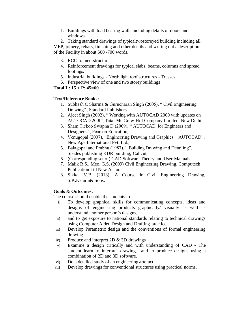1. Buildings with load bearing walls including details of doors and windows.

2. Taking standard drawings of typicaltwostoreyed building including all MEP, joinery, rebars, finishing and other details and writing out a description of the Facility in about 500 -700 words.

- 3. RCC framed structures
- 4. Reinforcement drawings for typical slabs, beams, columns and spread footings.
- 5. Industrial buildings North light roof structures Trusses
- 6. Perspective view of one and two storey buildings

#### **Total L: 15 + P: 45=60**

#### **Text/Reference Books:**

- 1. Subhash C Sharma & Gurucharan Singh (2005), " Civil Engineering Drawing" , Standard Publishers
- 2. Ajeet Singh (2002), " Working with AUTOCAD 2000 with updates on AUTOCAD 200I", Tata- Mc Graw-Hill Company Limited, New Delhi
- 3. Sham Tickoo Swapna D (2009), " AUTOCAD for Engineers and Designers" , Pearson Education,
- 4. Venugopal (2007), "Engineering Drawing and Graphics + AUTOCAD", New Age International Pvt. Ltd.,
- 5. Balagopal and Prabhu (1987), " Building Drawing and Detailing", Spades publishing KDR building, Calicut,
- 6. (Corresponding set of) CAD Software Theory and User Manuals.
- 7. Malik R.S., Meo, G.S. (2009) Civil Engineering Drawing, Computech Publication Ltd New Asian.
- 8. Sikka, V.B. (2013), A Course in Civil Engineering Drawing, S.K.Kataria& Sons,

#### **Goals & Outcomes:**

The course should enable the students to

- i) To develop graphical skills for communicating concepts, ideas and designs of engineering products graphically/ visually as well as understand another person's designs,
- ii) and to get exposure to national standards relating to technical drawings using Computer Aided Design and Drafting practice
- iii) Develop Parametric design and the conventions of formal engineering drawing
- iv) Produce and interpret 2D & 3D drawings
- v) Examine a design critically and with understanding of CAD The student learn to interpret drawings, and to produce designs using a combination of 2D and 3D software.
- vi) Do a detailed study of an engineering artefact
- vii) Develop drawings for conventional structures using practical norms.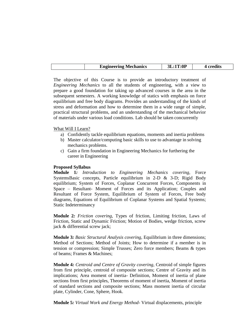|  | <b>Engineering Mechanics</b> | $\cdot$ :0P |  |
|--|------------------------------|-------------|--|

The objective of this Course is to provide an introductory treatment of *Engineering Mechanics* to all the students of engineering, with a view to prepare a good foundation for taking up advanced courses in the area in the subsequent semesters. A working knowledge of statics with emphasis on force equilibrium and free body diagrams. Provides an understanding of the kinds of stress and deformation and how to determine them in a wide range of simple, practical structural problems, and an understanding of the mechanical behavior of materials under various load conditions. Lab should be taken concurrently

#### What Will I Learn?

- a) Confidently tackle equilibrium equations, moments and inertia problems
- b) Master calculator/computing basic skills to use to advantage in solving mechanics problems.
- c) Gain a firm foundation in Engineering Mechanics for furthering the career in Engineering

#### **Proposed Syllabus**

**Module 1***: Introduction to Engineering Mechanics covering,* Force SystemsBasic concepts, Particle equilibrium in 2-D & 3-D; Rigid Body equilibrium; System of Forces, Coplanar Concurrent Forces, Components in Space – Resultant- Moment of Forces and its Application; Couples and Resultant of Force System, Equilibrium of System of Forces, Free body diagrams, Equations of Equilibrium of Coplanar Systems and Spatial Systems; Static Indeterminancy

**Module 2***: Friction covering,* Types of friction, Limiting friction, Laws of Friction, Static and Dynamic Friction; Motion of Bodies, wedge friction, screw jack & differential screw jack;

**Module 3***: Basic Structural Analysis covering,* Equilibrium in three dimensions; Method of Sections; Method of Joints; How to determine if a member is in tension or compression; Simple Trusses; Zero force members; Beams & types of beams; Frames & Machines;

**Module 4***: Centroid and Centre of Gravity covering,* Centroid of simple figures from first principle, centroid of composite sections; Centre of Gravity and its implications; Area moment of inertia- Definition, Moment of inertia of plane sections from first principles, Theorems of moment of inertia, Moment of inertia of standard sections and composite sections; Mass moment inertia of circular plate, Cylinder, Cone, Sphere, Hook.

**Module 5***: Virtual Work and Energy Method-* Virtual displacements, principle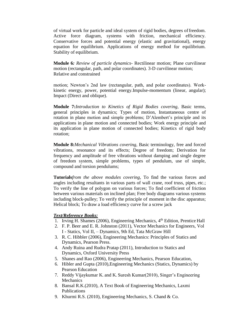of virtual work for particle and ideal system of rigid bodies, degrees offreedom. Active force diagram, systems with friction, mechanical efficiency. Conservative forces and potential energy (elastic and gravitational), energy equation for equilibrium. Applications of energy method for equilibrium. Stability of equilibrium.

**Module 6***: Review of particle dynamics-* Rectilinear motion; Plane curvilinear motion (rectangular, path, and polar coordinates). 3-D curvilinear motion; Relative and constrained

motion; Newton's 2nd law (rectangular, path, and polar coordinates). Workkinetic energy, power, potential energy.Impulse-momentum (linear, angular); Impact (Direct and oblique).

**Module 7:***Introduction to Kinetics of Rigid Bodies covering,* Basic terms, general principles in dynamics; Types of motion, Instantaneous centre of rotation in plane motion and simple problems; D'Alembert's principle and its applications in plane motion and connected bodies; Work energy principle and its application in plane motion of connected bodies; Kinetics of rigid body rotation;

**Module 8:***Mechanical Vibrations covering,* Basic terminology, free and forced vibrations, resonance and its effects; Degree of freedom; Derivation for frequency and amplitude of free vibrations without damping and single degree of freedom system, simple problems, types of pendulum, use of simple, compound and torsion pendulums;

**Tutorials***from the above modules covering*, To find the various forces and angles including resultants in various parts of wall crane, roof truss, pipes, etc.; To verify the line of polygon on various forces; To find coefficient of friction between various materials on inclined plan; Free body diagrams various systems including block-pulley; To verify the principle of moment in the disc apparatus; Helical block; To draw a load efficiency curve for a screw jack

- 1. Irving H. Shames (2006), Engineering Mechanics, 4<sup>th</sup> Edition, Prentice Hall
- 2. F. P. Beer and E. R. Johnston (2011), Vector Mechanics for Engineers, Vol I - Statics, Vol II, – Dynamics, 9th Ed, Tata McGraw Hill
- 3. R. C. Hibbler (2006), Engineering Mechanics: Principles of Statics and Dynamics, Pearson Press.
- 4. Andy Ruina and Rudra Pratap (2011), Introduction to Statics and Dynamics, Oxford University Press
- 5. Shanes and Rao (2006), Engineering Mechanics, Pearson Education,
- 6. Hibler and Gupta (2010),Engineering Mechanics (Statics, Dynamics) by Pearson Education
- 7. Reddy Vijaykumar K. and K. Suresh Kumar(2010), Singer's Engineering Mechanics
- 8. Bansal R.K.(2010), A Text Book of Engineering Mechanics, Laxmi Publications
- 9. Khurmi R.S. (2010), Engineering Mechanics, S. Chand & Co.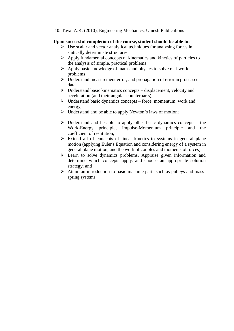10. Tayal A.K. (2010), Engineering Mechanics, Umesh Publications

#### **Upon successful completion of the course, student should be able to:**

- $\triangleright$  Use scalar and vector analytical techniques for analysing forces in statically determinate structures
- $\triangleright$  Apply fundamental concepts of kinematics and kinetics of particles to the analysis of simple, practical problems
- $\triangleright$  Apply basic knowledge of maths and physics to solve real-world problems
- Understand measurement error, and propagation of error in processed data
- $\triangleright$  Understand basic kinematics concepts displacement, velocity and acceleration (and their angular counterparts);
- $\triangleright$  Understand basic dynamics concepts force, momentum, work and energy;
- > Understand and be able to apply Newton's laws of motion;
- $\triangleright$  Understand and be able to apply other basic dynamics concepts the Work-Energy principle, Impulse-Momentum principle and the coefficient of restitution;
- $\triangleright$  Extend all of concepts of linear kinetics to systems in general plane motion (applying Euler's Equation and considering energy of a system in general plane motion, and the work of couples and moments of forces)
- Learn to solve dynamics problems. Appraise given information and determine which concepts apply, and choose an appropriate solution strategy; and
- Attain an introduction to basic machine parts such as pulleys and massspring systems.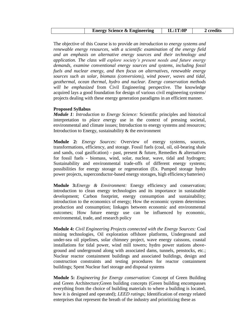| <b>Energy Science &amp; Engineering</b> | 1L:1T:0P | 2 credits |
|-----------------------------------------|----------|-----------|
|-----------------------------------------|----------|-----------|

The objective of this Course is to provide *an introduction to energy systems and renewable energy resources, with a scientific examination of the energy field and an emphasis on alternative energy sources and their technology and application. The class will explore society's present needs and future energy demands, examine conventional energy sources and systems, including fossil fuels and nuclear energy, and then focus on alternatives, renewable energy sources such as solar, biomass (conversions), wind power, waves and tidal, geothermal, ocean thermal, hydro and nuclear. Energy conservation methods will be emphasized* from Civil Engineering perspective. The knowledge acquired lays a good foundation for design of various civil engineering systems/ projects dealing with these energy generation paradigms in an efficient manner.

#### **Proposed Syllabus**

*Module 1: Introduction to Energy Science:* Scientific principles and historical interpretation to *place ener*gy use in the context of pressing societal, environmental and climate issues; Introduction to energy systems and resources; Introduction to Energy, sustainability  $\&$  the environment

**Module 2:** *Energy Sources:* Overview of energy systems, sources, transformations, efficiency, and storage. Fossil fuels (coal, oil, oil-bearing shale and sands, coal gasification) - past, present & future, Remedies & alternatives for fossil fuels - biomass, wind, solar, nuclear, wave, tidal and hydrogen; Sustainability and environmental trade-offs of different energy systems; possibilities for energy storage or regeneration (Ex. Pumped storage hydro power projects, superconductor-based energy storages, high efficiencybatteries)

**Module 3:***Energy & Environment:* Energy efficiency and conservation; introduction to clean energy technologies and its importance in sustainable development; Carbon footprint, energy consumption and sustainability; introduction to the economics of energy; How the economic system determines production and consumption; linkages between economic and environmental outcomes; How future energy use can be influenced by economic, environmental, trade, and research policy

**Module 4:** *Civil Engineering Projects connected with the Energy Sources:* Coal mining technologies, Oil exploration offshore platforms, Underground and under-sea oil pipelines, solar chimney project, wave energy caissons, coastal installations for tidal power, wind mill towers; hydro power stations aboveground and underground along with associated dams, tunnels, penstocks, etc.; Nuclear reactor containment buildings and associated buildings, design and construction constraints and testing procedures for reactor containment buildings; Spent Nuclear fuel storage and disposal systems

**Module 5:** *Engineering for Energy conservation:* Concept of Green Building and Green Architecture;Green building concepts (Green building encompasses everything from the choice of building materials to where a building is located, how it is designed and operated); *LEED ratings;* Identification of energy related enterprises that represent the breath of the industry and prioritizing these as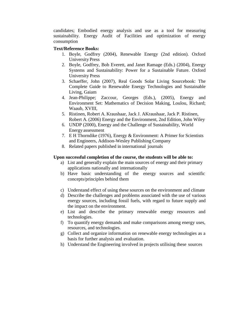candidates; Embodied energy analysis and use as a tool for measuring sustainability. Energy Audit of Facilities and optimization of energy consumption

#### **Text/Reference Books:**

- 1. Boyle, Godfrey (2004), Renewable Energy (2nd edition). Oxford University Press
- 2. Boyle, Godfrey, Bob Everett, and Janet Ramage (Eds.) (2004), Energy Systems and Sustainability: Power for a Sustainable Future. Oxford University Press
- 3. Schaeffer, John (2007), Real Goods Solar Living Sourcebook: The Complete Guide to Renewable Energy Technologies and Sustainable Living, Gaiam
- 4. Jean-Philippe; Zaccour, Georges (Eds.), (2005), Energy and Environment Set: Mathematics of Decision Making, Loulou, Richard; Waaub, XVIII,
- 5. Ristinen, Robert A. Kraushaar, Jack J. AKraushaar, Jack P. Ristinen, Robert A. (2006) Energy and the Environment, 2nd Edition, John Wiley
- 6. UNDP (2000), Energy and the Challenge of Sustainability, World Energy assessment
- 7. E H Thorndike (1976), Energy & Environment: A Primer for Scientists and Engineers, Addison-Wesley Publishing Company
- 8. Related papers published in international journals

#### **Upon successful completion of the course, the students will be able to:**

- a) List and generally explain the main sources of energy and their primary applications nationally and internationally
- b) Have basic understanding of the energy sources and scientific concepts/principles behind them
- c) Understand effect of using these sources on the environment and climate
- d) Describe the challenges and problems associated with the use of various energy sources, including fossil fuels, with regard to future supply and the impact on the environment.
- e) List and describe the primary renewable energy resources and technologies.
- f) To quantify energy demands and make comparisons among energy uses, resources, and technologies.
- g) Collect and organize information on renewable energy technologies as a basis for further analysis and evaluation.
- h) Understand the Engineering involved in projects utilising these sources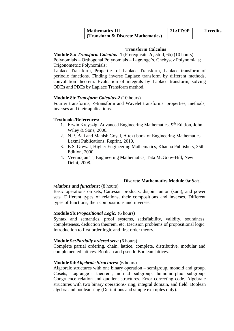| <b>Mathematics-III</b>             | 2L:1T:0P | 2 credits |
|------------------------------------|----------|-----------|
| (Transform & Discrete Mathematics) |          |           |

#### **Transform Calculus**

**Module 8a:** *Transform Calculus* **-1** (Prerequisite 2c, 5b-d, 6b) (10 hours)

Polynomials – Orthogonal Polynomials – Lagrange's, Chebysev Polynomials; Trigonometric Polynomials;

Laplace Transform, Properties of Laplace Transform, Laplace transform of periodic functions. Finding inverse Laplace transform by different methods, convolution theorem. Evaluation of integrals by Laplace transform, solving ODEs and PDEs by Laplace Transform method.

#### **Module 8b:***Transform Calculus***-2** (10 hours)

Fourier transforms, Z-transform and Wavelet transforms: properties, methods, inverses and their applications.

#### **Textbooks/References:**

- 1. Erwin Kreyszig, Advanced Engineering Mathematics, 9<sup>th</sup> Edition, John Wiley & Sons, 2006.
- 2. N.P. Bali and Manish Goyal, A text book of Engineering Mathematics, Laxmi Publications, Reprint, 2010.
- 3. B.S. Grewal, Higher Engineering Mathematics, Khanna Publishers, 35th Edition, 2000.
- 4. Veerarajan T., Engineering Mathematics, Tata McGraw-Hill, New Delhi, 2008.

#### **Discrete Mathematics Module 9a:***Sets,*

#### *relations and functions***:** (8 hours)

Basic operations on sets, Cartesian products, disjoint union (sum), and power sets. Different types of relations, their compositions and inverses. Different types of functions, their compositions and inverses.

#### **Module 9b:***Propositional Logic:* (6 hours)

Syntax and semantics, proof systems, satisfiability, validity, soundness, completeness, deduction theorem, etc. Decision problems of propositional logic. Introduction to first order logic and first order theory.

#### **Module 9c:***Partially ordered sets:* (6 hours)

Complete partial ordering, chain, lattice, complete, distributive, modular and complemented lattices. Boolean and pseudo Boolean lattices.

#### **Module 9d:***Algebraic Structures:* (6 hours)

Algebraic structures with one binary operation – semigroup, monoid and group. Cosets, Lagrange's theorem, normal subgroup, homomorphic subgroup. Congruence relation and quotient structures. Error correcting code. Algebraic structures with two binary operations- ring, integral domain, and field. Boolean algebra and boolean ring (Definitions and simple examples only).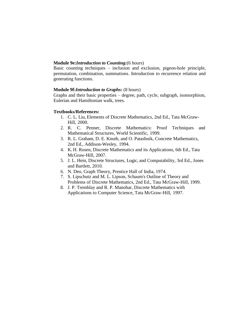#### **Module 9e:***Introduction to Counting:*(6 hours)

Basic counting techniques – inclusion and exclusion, pigeon-hole principle, permutation, combination, summations. Introduction to recurrence relation and generating functions.

#### **Module 9f:***Introduction to Graphs:* (8 hours)

Graphs and their basic properties – degree, path, cycle, subgraph, isomorphism, Eulerian and Hamiltonian walk, trees.

#### **Textbooks/References:**

- 1. C. L. Liu, Elements of Discrete Mathematics, 2nd Ed., Tata McGraw-Hill, 2000.
- 2. R. C. Penner, Discrete Mathematics: Proof Techniques and Mathematical Structures, World Scientific, 1999.
- 3. R. L. Graham, D. E. Knuth, and O. Patashnik, Concrete Mathematics, 2nd Ed., Addison-Wesley, 1994.
- 4. K. H. Rosen, Discrete Mathematics and its Applications, 6th Ed., Tata McGraw-Hill, 2007.
- 5. J. L. Hein, Discrete Structures, Logic, and Computability, 3rd Ed., Jones and Bartlett, 2010.
- 6. N. Deo, Graph Theory, Prentice Hall of India, 1974.
- 7. S. Lipschutz and M. L. Lipson, Schaum's Outline of Theory and Problems of Discrete Mathematics, 2nd Ed., Tata McGraw-Hill, 1999.
- 8. J. P. Tremblay and R. P. Manohar, Discrete Mathematics with Applications to Computer Science, Tata McGraw-Hill, 1997.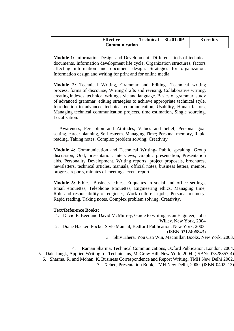| <b>Effective</b>     | <b>Technical</b> | 3L:0T:0P | <b>3 credits</b> |
|----------------------|------------------|----------|------------------|
| <b>Communication</b> |                  |          |                  |

**Module 1:** Information Design and Development- Different kinds of technical documents, Information development life cycle, Organization structures, factors affecting information and document design, Strategies for organization, Information design and writing for print and for online media.

**Module 2:** Technical Writing, Grammar and Editing- Technical writing process, forms of discourse, Writing drafts and revising, Collaborative writing, creating indexes, technical writing style and language. Basics of grammar, study of advanced grammar, editing strategies to achieve appropriate technical style. Introduction to advanced technical communication, Usability, Hunan factors, Managing technical communication projects, time estimation, Single sourcing, Localization.

Awareness, Perception and Attitudes, Values and belief, Personal goal setting, career planning, Self-esteem. Managing Time; Personal memory, Rapid reading, Taking notes; Complex problem solving; Creativity

**Module 4:** Communication and Technical Writing- Public speaking, Group discussion, Oral; presentation, Interviews, Graphic presentation, Presentation aids, Personality Development. Writing reports, project proposals, brochures, newsletters, technical articles, manuals, official notes, business letters, memos, progress reports, minutes of meetings, event report.

**Module 5:** Ethics- Business ethics, Etiquettes in social and office settings, Email etiquettes, Telephone Etiquettes, Engineering ethics, Managing time, Role and responsibility of engineer, Work culture in jobs, Personal memory, Rapid reading, Taking notes, Complex problem solving, Creativity.

#### **Text/Reference Books:**

1. David F. Beer and David McMurrey, Guide to writing as an Engineer, John Willey. New York, 2004 2. Diane Hacker, Pocket Style Manual, Bedford Publication, New York, 2003. (ISBN 0312406843)

3. Shiv Khera, You Can Win, Macmillan Books, New York, 2003.

4. Raman Sharma, Technical Communications, Oxford Publication, London, 2004. 5. Dale Jungk, Applied Writing for Technicians, McGraw Hill, New York, 2004. (ISBN: 07828357-4) 6. Sharma, R. and Mohan, K. Business Correspondence and Report Writing, TMH New Delhi 2002. 7. Xebec, Presentation Book, TMH New Delhi, 2000. (ISBN 0402213)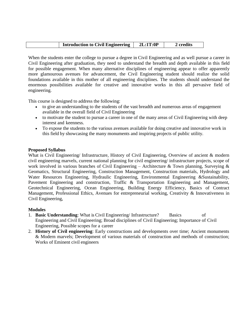| 2L:1T:0P<br><b>Introduction to Civil Engineering</b><br>2 credits |  |
|-------------------------------------------------------------------|--|
|-------------------------------------------------------------------|--|

When the students enter the college to pursue a degree in Civil Engineering and as well pursue a career in Civil Engineering after graduation, they need to understand the breadth and depth available in this field for possible engagement. When many alternative disciplines of engineering appear to offer apparently more glamourous avenues for advancement, the Civil Engineering student should realize the solid foundations available in this mother of all engineering disciplines. The students should understand the enormous possibilities available for creative and innovative works in this all pervasive field of engineering.

This course is designed to address the following:

- to give an understanding to the students of the vast breadth and numerous areas of engagement available in the overall field of Civil Engineering
- to motivate the student to pursue a career in one of the many areas of Civil Engineering with deep interest and keenness.
- To expose the students to the various avenues available for doing creative and innovative work in this field by showcasing the many monuments and inspiring projects of public utility.

#### **Proposed Syllabus**

What is Civil Engineering/ Infrastructure, History of Civil Engineering, Overview of ancient & modern civil engineering marvels, current national planning for civil engineering/ infrastructure projects, scope of work involved in various branches of Civil Engineering – Architecture & Town planning, Surveying & Geomatics, Structural Engineering, Construction Management, Construction materials, Hydrology and Water Resources Engineering, Hydraulic Engineering, Environmental Engineering &Sustainability, Pavement Engineering and construction, Traffic & Transportation Engineering and Management, Geotechnical Engineering, Ocean Engineering, Building Energy Efficiency, Basics of Contract Management, Professional Ethics, Avenues for entrepreneurial working, Creativity & Innovativeness in Civil Engineering,

#### **Modules**

- 1. **Basic Understanding**: What is Civil Engineering/ Infrastructure? Basics of Engineering and Civil Engineering; Broad disciplines of Civil Engineering; Importance of Civil Engineering, Possible scopes for a career
- 2. **History of Civil engineering**: Early constructions and developments over time; Ancient monuments & Modern marvels; Development of various materials of construction and methods of construction; Works of Eminent civil engineers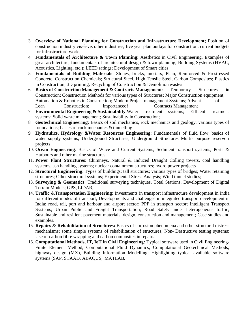- 3. **Overview of National Planning for Construction and Infrastructure Development**; Position of construction industry vis-à-vis other industries, five year plan outlays for construction; current budgets for infrastructure works;
- 4. **Fundamentals of Architecture & Town Planning**: Aesthetics in Civil Engineering, Examples of great architecture, fundamentals of architectural design & town planning; Building Systems (HVAC, Acoustics, Lighting, etc.); LEED ratings; Development of Smart cities
- 5. **Fundamentals of Building Materials**: Stones, bricks, mortars, Plain, Reinforced & Prestressed Concrete, Construction Chemicals; Structural Steel, High Tensile Steel, Carbon Composites; Plastics in Construction; 3D printing; Recycling of Construction & Demolition wastes
- 6. **Basics of Construction Management & Contracts Management**: Temporary Structures in Construction; Construction Methods for various types of Structures; Major Construction equipment; Automation & Robotics in Construction; Modern Project management Systems; Advent of Lean Construction; Importanceof Contracts Management
- 7. **Environmental Engineering & Sustainability**:Water treatment systems; Effluent treatment systems; Solid waste management; Sustainability in Construction;
- 8. **Geotechnical Engineering**: Basics of soil mechanics, rock mechanics and geology; various types of foundations; basics of rock mechanics  $&$  tunnelling
- 9. **Hydraulics, Hydrology &Water Resources Engineering**: Fundamentals of fluid flow, basics of water supply systems; Underground Structures; Underground Structures Multi- purpose reservoir projects
- 10. **Ocean Engineering**: Basics of Wave and Current Systems; Sediment transport systems; Ports & Harbours and other marine structures
- 11. **Power Plant Structures**: Chimneys, Natural & Induced Draught Colling towers, coal handling systems, ash handling systems; nuclear containment structures; hydro power projects
- 12. **Structural Engineering**: Types of buildings; tall structures; various types of bridges; Water retaining structures; Other structural systems; Experimental Stress Analysis; Wind tunnel studies;
- 13. **Surveying & Geomatics**: Traditional surveying techniques, Total Stations, Development of Digital Terrain Models; GPS, LIDAR;
- 14. **Traffic &Transportation Engineering**: Investments in transport infrastructure development in India for different modes of transport; Developments and challenges in integrated transport development in India: road, rail, port and harbour and airport sector; PPP in transport sector; Intelligent Transport Systems; Urban Public and Freight Transportation; Road Safety under heterogeneous traffic; Sustainable and resilient pavement materials, design, construction and management; Case studies and examples.
- 15. **Repairs & Rehabilitation of Structures:** Basics of corrosion phenomena and other structural distress mechanisms; some simple systems of rehabilitation of structures; Non- Destructive testing systems; Use of carbon fibre wrapping and carbon composites in repairs.
- 16. **Computational Methods, IT, IoT in Civil Engineering:** Typical software used in Civil Engineering-Finite Element Method, Computational Fluid Dynamics; Computational Geotechnical Methods; highway design (MX), Building Information Modelling; Highlighting typical available software systems (SAP, STAAD, ABAQUS, MATLAB,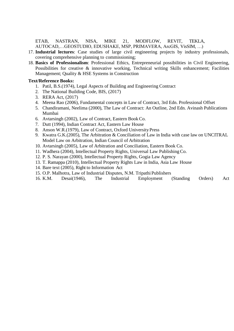ETAB, NASTRAN, NISA, MIKE 21, MODFLOW, REVIT, TEKLA, AUTOCAD,…GEOSTUDIO, EDUSHAKE, MSP, PRIMAVERA, ArcGIS, VisSIM, …)

- 17. **Industrial lectures**: Case studies of large civil engineering projects by industry professionals, covering comprehensive planning to commissioning;
- 18. **Basics of Professionalism**: Professional Ethics, Entrepreneurial possibilities in Civil Engineering, Possibilities for creative & innovative working, Technical writing Skills enhancement; Facilities Management; Quality & HSE Systems in Construction

- 1. Patil, B.S.(1974), Legal Aspects of Building and Engineering Contract
- 2. The National Building Code, BIS, (2017)
- 3. RERA Act, (2017)
- 4. Meena Rao (2006), Fundamental concepts in Law of Contract, 3rd Edn. Professional Offset
- 5. Chandiramani, Neelima (2000), The Law of Contract: An Outline, 2nd Edn. Avinash Publications Mumbai
- 6. Avtarsingh (2002), Law of Contract, Eastern Book Co.
- 7. Dutt (1994), Indian Contract Act, Eastern Law House
- 8. Anson W.R.(1979), Law of Contract, Oxford University Press
- 9. Kwatra G.K.(2005), The Arbitration & Conciliation of Law in India with case law on UNCITRAL Model Law on Arbitration, Indian Council of Arbitration
- 10. Avtarsingh (2005), Law of Arbitration and Conciliation, Eastern Book Co.
- 11. Wadhera (2004), Intellectual Property Rights, Universal Law PublishingCo.
- 12. P. S. Narayan (2000), Intellectual Property Rights, Gogia Law Agency
- 13. T. Ramappa (2010), Intellectual Property Rights Law in India, Asia Law House
- 14. Bare text (2005), Right to Information Act
- 15. O.P. Malhotra, Law of Industrial Disputes, N.M. Tripathi Publishers
- 16. K.M. Desai(1946), The Industrial Employment (Standing Orders) Act